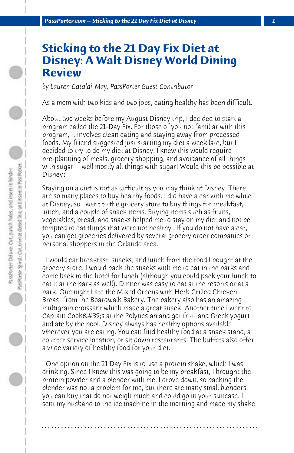## **Sticking to the 21 Day Fix Diet at Disney: A Walt Disney World Dining Review**

*by Lauren Cataldi-May, PassPorter Guest Contributor*

As a mom with two kids and two jobs, eating healthy has been difficult.

About two weeks before my August Disney trip, I decided to start a program called the 21-Day Fix. For those of you not familiar with this program, it involves clean eating and staying away from processed foods. My friend suggested just starting my diet a week late, but I decided to try to do my diet at Disney. I knew this would require pre-planning of meals, grocery shopping, and avoidance of all things with sugar -- well mostly all things with sugar! Would this be possible at Disney?

Staying on a diet is not as difficult as you may think at Disney. There are so many places to buy healthy foods. I did have a car with me while at Disney, so I went to the grocery store to buy things for breakfast, lunch, and a couple of snack items. Buying items such as fruits, vegetables, bread, and snacks helped me to stay on my diet and not be tempted to eat things that were not healthy . If you do not have a car, you can get groceries delivered by several grocery order companies or personal shoppers in the Orlando area.

 I would eat breakfast, snacks, and lunch from the food I bought at the grocery store. I would pack the snacks with me to eat in the parks and come back to the hotel for lunch (although you could pack your lunch to eat it at the park as well). Dinner was easy to eat at the resorts or at a park. One night I ate the Mixed Greens with Herb Grilled Chicken Breast from the Boardwalk Bakery. The bakery also has an amazing multigrain croissant which made a great snack! Another time I went to Captain Cook's at the Polynesian and got fruit and Greek yogurt and ate by the pool. Disney always has healthy options available wherever you are eating. You can find healthy food at a snack stand, a counter service location, or sit down restaurants. The buffets also offer a wide variety of healthy food for your diet.

 One option on the 21 Day Fix is to use a protein shake, which I was drinking. Since I knew this was going to be my breakfast, I brought the protein powder and a blender with me. I drove down, so packing the blender was not a problem for me, but there are many small blenders you can buy that do not weigh much and could go in your suitcase. I sent my husband to the ice machine in the morning and made my shake

**. . . . . . . . . . . . . . . . . . . . . . . . . . . . . . . . . . . . . . . . . . . . . . . . . . . . . . . . . . . . . . . . . .**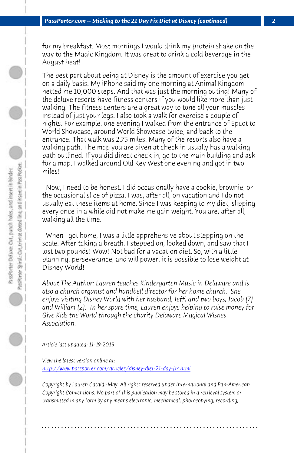*PassPorter.com -- Sticking to the 21 Day Fix Diet at Disney (continued)* 

for my breakfast. Most mornings I would drink my protein shake on the way to the Magic Kingdom. It was great to drink a cold beverage in the August heat!

The best part about being at Disney is the amount of exercise you get on a daily basis. My iPhone said my one morning at Animal Kingdom netted me 10,000 steps. And that was just the morning outing! Many of the deluxe resorts have fitness centers if you would like more than just walking. The fitness centers are a great way to tone all your muscles instead of just your legs. I also took a walk for exercise a couple of nights. For example, one evening I walked from the entrance of Epcot to World Showcase, around World Showcase twice, and back to the entrance. That walk was 2.75 miles. Many of the resorts also have a walking path. The map you are given at check in usually has a walking path outlined. If you did direct check in, go to the main building and ask for a map. I walked around Old Key West one evening and got in two miles!

 Now, I need to be honest. I did occasionally have a cookie, brownie, or the occasional slice of pizza. I was, after all, on vacation and I do not usually eat these items at home. Since I was keeping to my diet, slipping every once in a while did not make me gain weight. You are, after all, walking all the time.

 [When I got home, I was a little apprehensive abou](http://www.passporter.com/articles/disney-diet-21-day-fix.php)t stepping on the scale. After taking a breath, I stepped on, looked down, and saw that I lost two pounds! Wow! Not bad for a vacation diet. So, with a little planning, perseverance, and will power, it is possible to lose weight at Disney World!

*About The Author: Lauren teaches Kindergarten Music in Delaware and is also a church organist and handbell director for her home church. She enjoys visiting Disney World with her husband, Jeff, and two boys, Jacob (7) and William (2). In her spare time, Lauren enjoys helping to raise money for Give Kids the World through the charity Delaware Magical Wishes Association.*

*Article last updated: 11-19-2015*

*View the latest version online at: http://www.passporter.com/articles/disney-diet-21-day-fix.html*

*Copyright by Lauren Cataldi-May. All rights reserved under International and Pan-American Copyright Conventions. No part of this publication may be stored in a retrieval system or transmitted in any form by any means electronic, mechanical, photocopying, recording,*

**. . . . . . . . . . . . . . . . . . . . . . . . . . . . . . . . . . . . . . . . . . . . . . . . . . . . . . . . . . . . . . . . . .**